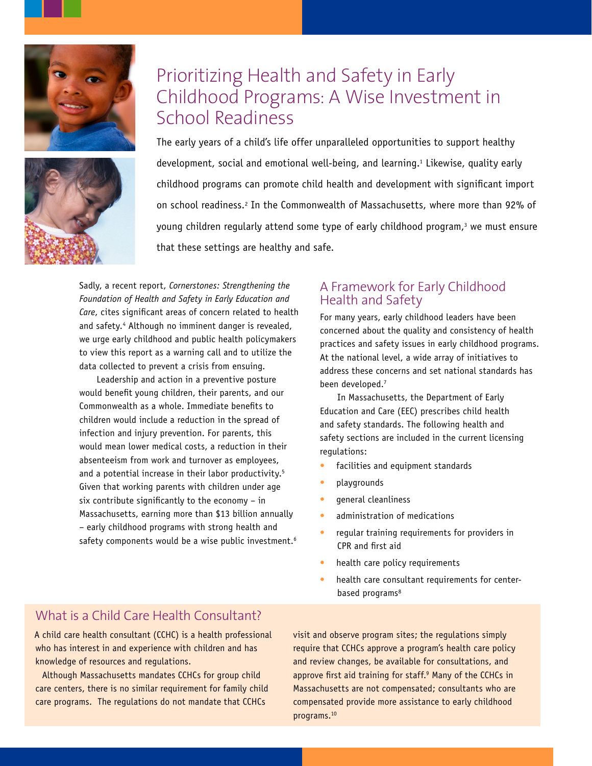



# Prioritizing Health and Safety in Early Childhood Programs: A Wise Investment in School Readiness

The early years of a child's life offer unparalleled opportunities to support healthy development, social and emotional well-being, and learning.<sup>1</sup> Likewise, quality early childhood programs can promote child health and development with significant import on school readiness.2 In the Commonwealth of Massachusetts, where more than 92% of young children regularly attend some type of early childhood program,<sup>3</sup> we must ensure that these settings are healthy and safe.

Sadly, a recent report, *Cornerstones: Strengthening the Foundation of Health and Safety in Early Education and Care*, cites significant areas of concern related to health and safety.<sup>4</sup> Although no imminent danger is revealed, we urge early childhood and public health policymakers to view this report as a warning call and to utilize the data collected to prevent a crisis from ensuing.

Leadership and action in a preventive posture would benefit young children, their parents, and our Commonwealth as a whole. Immediate benefits to children would include a reduction in the spread of infection and injury prevention. For parents, this would mean lower medical costs, a reduction in their absenteeism from work and turnover as employees, and a potential increase in their labor productivity.<sup>5</sup> Given that working parents with children under age six contribute significantly to the economy  $-$  in Massachusetts, earning more than \$13 billion annually – early childhood programs with strong health and safety components would be a wise public investment.<sup>6</sup>

### A Framework for Early Childhood Health and Safety

For many years, early childhood leaders have been concerned about the quality and consistency of health practices and safety issues in early childhood programs. At the national level, a wide array of initiatives to address these concerns and set national standards has been developed.7

In Massachusetts, the Department of Early Education and Care (EEC) prescribes child health and safety standards. The following health and safety sections are included in the current licensing regulations:

- facilities and equipment standards
- playgrounds
- general cleanliness
- administration of medications
- regular training requirements for providers in CPR and first aid
- health care policy requirements
- health care consultant requirements for centerbased programs<sup>8</sup>

## What is a Child Care Health Consultant?

A child care health consultant (CCHC) is a health professional who has interest in and experience with children and has knowledge of resources and regulations.

Although Massachusetts mandates CCHCs for group child care centers, there is no similar requirement for family child care programs. The regulations do not mandate that CCHCs

visit and observe program sites; the regulations simply require that CCHCs approve a program's health care policy and review changes, be available for consultations, and approve first aid training for staff.<sup>9</sup> Many of the CCHCs in Massachusetts are not compensated; consultants who are compensated provide more assistance to early childhood programs.10